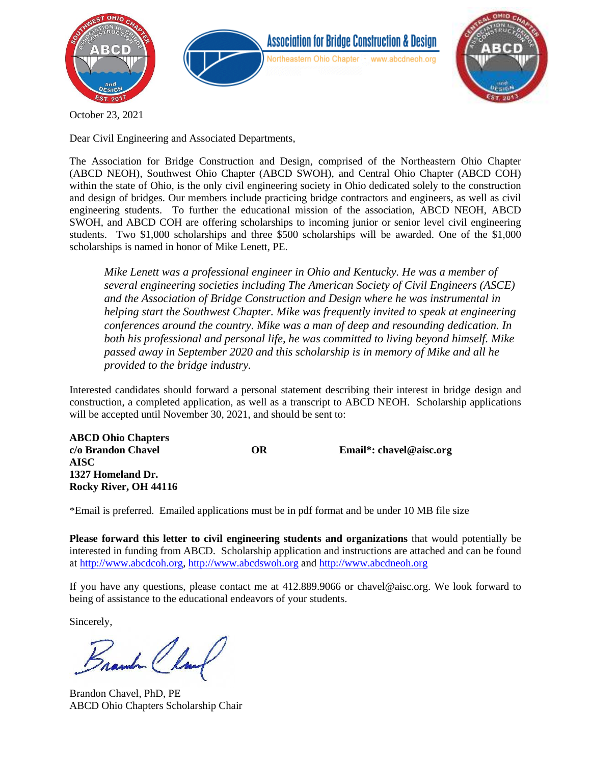



October 23, 2021

Dear Civil Engineering and Associated Departments,

The Association for Bridge Construction and Design, comprised of the Northeastern Ohio Chapter (ABCD NEOH), Southwest Ohio Chapter (ABCD SWOH), and Central Ohio Chapter (ABCD COH) within the state of Ohio, is the only civil engineering society in Ohio dedicated solely to the construction and design of bridges. Our members include practicing bridge contractors and engineers, as well as civil engineering students. To further the educational mission of the association, ABCD NEOH, ABCD SWOH, and ABCD COH are offering scholarships to incoming junior or senior level civil engineering students. Two \$1,000 scholarships and three \$500 scholarships will be awarded. One of the \$1,000 scholarships is named in honor of Mike Lenett, PE.

*Mike Lenett was a professional engineer in Ohio and Kentucky. He was a member of several engineering societies including The American Society of Civil Engineers (ASCE) and the Association of Bridge Construction and Design where he was instrumental in helping start the Southwest Chapter. Mike was frequently invited to speak at engineering conferences around the country. Mike was a man of deep and resounding dedication. In both his professional and personal life, he was committed to living beyond himself. Mike passed away in September 2020 and this scholarship is in memory of Mike and all he provided to the bridge industry.* 

Interested candidates should forward a personal statement describing their interest in bridge design and construction, a completed application, as well as a transcript to ABCD NEOH. Scholarship applications will be accepted until November 30, 2021, and should be sent to:

| <b>ABCD Ohio Chapters</b> |    |                           |
|---------------------------|----|---------------------------|
| c/o Brandon Chavel        | OR | Email*: $chavel@aisc.org$ |
| <b>AISC</b>               |    |                           |
| 1327 Homeland Dr.         |    |                           |
| Rocky River, OH 44116     |    |                           |

\*Email is preferred. Emailed applications must be in pdf format and be under 10 MB file size

**Please forward this letter to civil engineering students and organizations** that would potentially be interested in funding from ABCD. Scholarship application and instructions are attached and can be found at [http://www.abcdcoh.org,](http://www.abcdcoh.org/) [http://www.abcdswoh.org](http://www.abcdswoh.org/) and [http://www.abcdneoh.org](http://www.abcdneoh.org/)

If you have any questions, please contact me at 412.889.9066 or chavel@aisc.org. We look forward to being of assistance to the educational endeavors of your students.

Sincerely,

Frank Clark

Brandon Chavel, PhD, PE ABCD Ohio Chapters Scholarship Chair